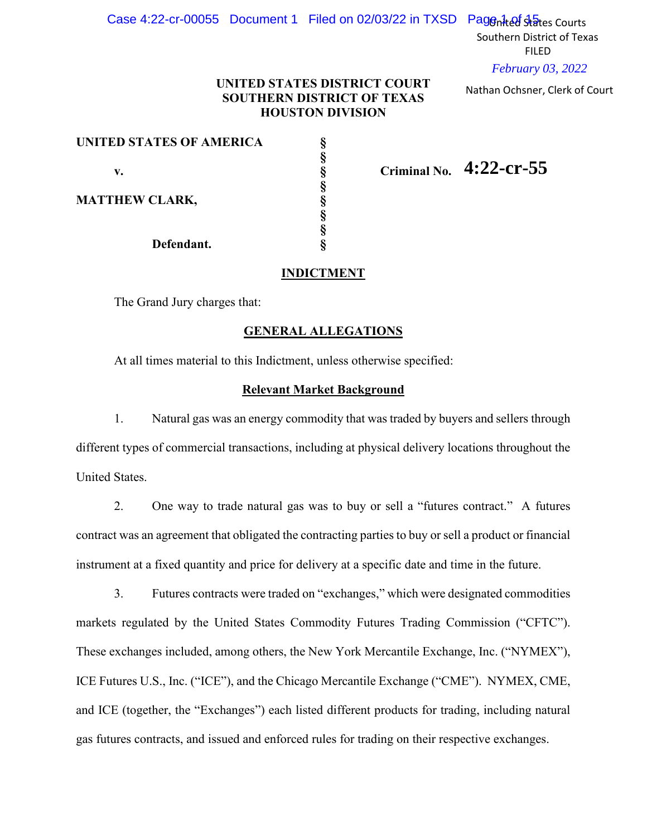# Case 4:22-cr-00055 Document 1 Filed on 02/03/22 in TXSD Pagen ted states Courts

Southern District of Texas FILED

*February 03, 2022*

Nathan Ochsner, Clerk of Court

## **UNITED STATES DISTRICT COURT SOUTHERN DISTRICT OF TEXAS HOUSTON DIVISION**

| UNITED STATES OF AMERICA |  |                            |
|--------------------------|--|----------------------------|
|                          |  |                            |
| v.                       |  | Criminal No. $4:22$ -Cr-55 |
|                          |  |                            |
| <b>MATTHEW CLARK,</b>    |  |                            |
|                          |  |                            |
|                          |  |                            |
| Defendant.               |  |                            |

## **INDICTMENT**

The Grand Jury charges that:

## **GENERAL ALLEGATIONS**

At all times material to this Indictment, unless otherwise specified:

### **Relevant Market Background**

1. Natural gas was an energy commodity that was traded by buyers and sellers through different types of commercial transactions, including at physical delivery locations throughout the United States.

2. One way to trade natural gas was to buy or sell a "futures contract." A futures contract was an agreement that obligated the contracting parties to buy or sell a product or financial instrument at a fixed quantity and price for delivery at a specific date and time in the future.

3. Futures contracts were traded on "exchanges," which were designated commodities markets regulated by the United States Commodity Futures Trading Commission ("CFTC"). These exchanges included, among others, the New York Mercantile Exchange, Inc. ("NYMEX"), ICE Futures U.S., Inc. ("ICE"), and the Chicago Mercantile Exchange ("CME"). NYMEX, CME, and ICE (together, the "Exchanges") each listed different products for trading, including natural gas futures contracts, and issued and enforced rules for trading on their respective exchanges.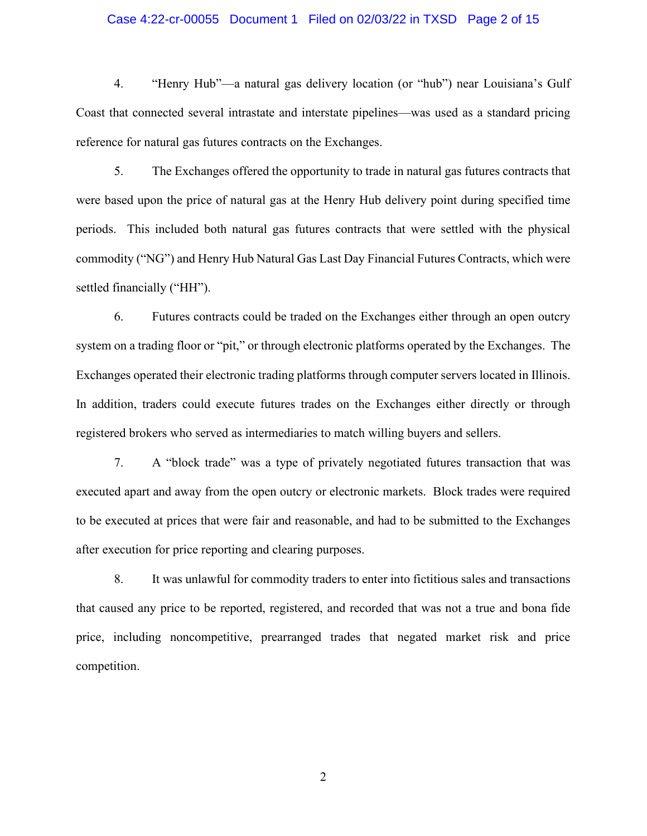#### Case 4:22-cr-00055 Document 1 Filed on 02/03/22 in TXSD Page 2 of 15

4. "Henry Hub"—a natural gas delivery location (or "hub") near Louisiana's Gulf Coast that connected several intrastate and interstate pipelines—was used as a standard pricing reference for natural gas futures contracts on the Exchanges.

5. The Exchanges offered the opportunity to trade in natural gas futures contracts that were based upon the price of natural gas at the Henry Hub delivery point during specified time periods. This included both natural gas futures contracts that were settled with the physical commodity ("NG") and Henry Hub Natural Gas Last Day Financial Futures Contracts, which were settled financially ("HH").

6. Futures contracts could be traded on the Exchanges either through an open outcry system on a trading floor or "pit," or through electronic platforms operated by the Exchanges. The Exchanges operated their electronic trading platforms through computer servers located in Illinois. In addition, traders could execute futures trades on the Exchanges either directly or through registered brokers who served as intermediaries to match willing buyers and sellers.

7. A "block trade" was a type of privately negotiated futures transaction that was executed apart and away from the open outcry or electronic markets. Block trades were required to be executed at prices that were fair and reasonable, and had to be submitted to the Exchanges after execution for price reporting and clearing purposes.

8. It was unlawful for commodity traders to enter into fictitious sales and transactions that caused any price to be reported, registered, and recorded that was not a true and bona fide price, including noncompetitive, prearranged trades that negated market risk and price competition.

2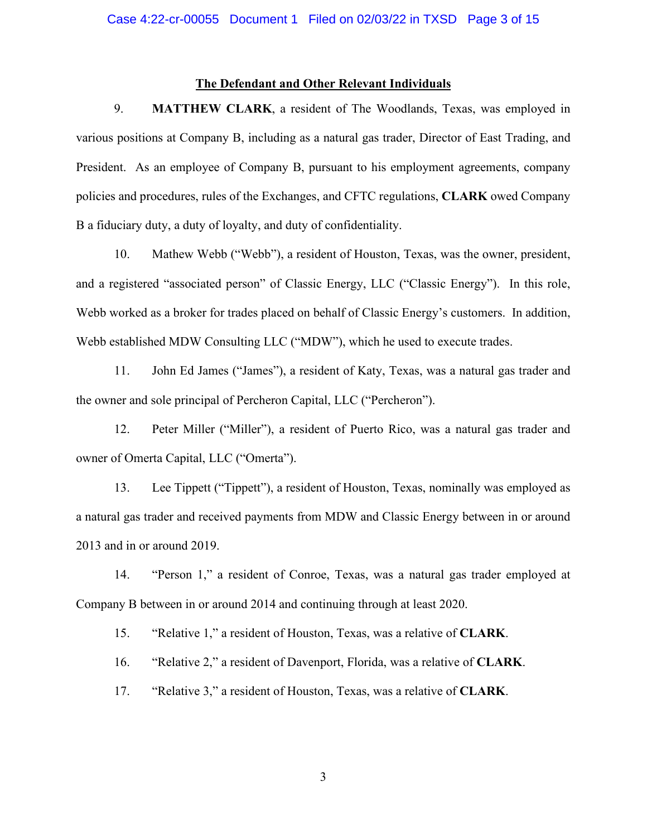### **The Defendant and Other Relevant Individuals**

9. **MATTHEW CLARK**, a resident of The Woodlands, Texas, was employed in various positions at Company B, including as a natural gas trader, Director of East Trading, and President. As an employee of Company B, pursuant to his employment agreements, company policies and procedures, rules of the Exchanges, and CFTC regulations, **CLARK** owed Company B a fiduciary duty, a duty of loyalty, and duty of confidentiality.

10. Mathew Webb ("Webb"), a resident of Houston, Texas, was the owner, president, and a registered "associated person" of Classic Energy, LLC ("Classic Energy"). In this role, Webb worked as a broker for trades placed on behalf of Classic Energy's customers. In addition, Webb established MDW Consulting LLC ("MDW"), which he used to execute trades.

11. John Ed James ("James"), a resident of Katy, Texas, was a natural gas trader and the owner and sole principal of Percheron Capital, LLC ("Percheron").

12. Peter Miller ("Miller"), a resident of Puerto Rico, was a natural gas trader and owner of Omerta Capital, LLC ("Omerta").

13. Lee Tippett ("Tippett"), a resident of Houston, Texas, nominally was employed as a natural gas trader and received payments from MDW and Classic Energy between in or around 2013 and in or around 2019.

14. "Person 1," a resident of Conroe, Texas, was a natural gas trader employed at Company B between in or around 2014 and continuing through at least 2020.

15. "Relative 1," a resident of Houston, Texas, was a relative of **CLARK**.

16. "Relative 2," a resident of Davenport, Florida, was a relative of **CLARK**.

17. "Relative 3," a resident of Houston, Texas, was a relative of **CLARK**.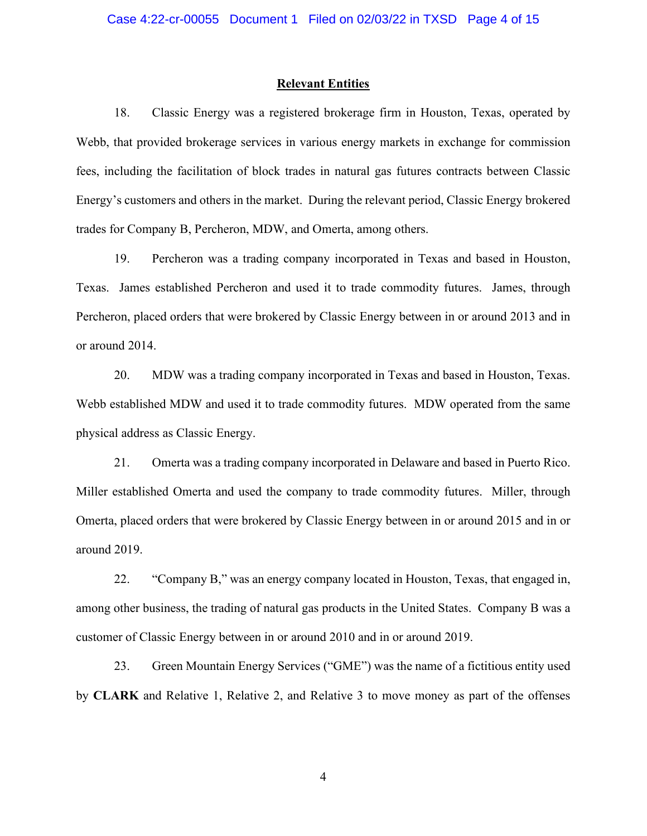#### **Relevant Entities**

18. Classic Energy was a registered brokerage firm in Houston, Texas, operated by Webb, that provided brokerage services in various energy markets in exchange for commission fees, including the facilitation of block trades in natural gas futures contracts between Classic Energy's customers and others in the market. During the relevant period, Classic Energy brokered trades for Company B, Percheron, MDW, and Omerta, among others.

19. Percheron was a trading company incorporated in Texas and based in Houston, Texas. James established Percheron and used it to trade commodity futures. James, through Percheron, placed orders that were brokered by Classic Energy between in or around 2013 and in or around 2014.

20. MDW was a trading company incorporated in Texas and based in Houston, Texas. Webb established MDW and used it to trade commodity futures. MDW operated from the same physical address as Classic Energy.

21. Omerta was a trading company incorporated in Delaware and based in Puerto Rico. Miller established Omerta and used the company to trade commodity futures. Miller, through Omerta, placed orders that were brokered by Classic Energy between in or around 2015 and in or around 2019.

22. "Company B," was an energy company located in Houston, Texas, that engaged in, among other business, the trading of natural gas products in the United States. Company B was a customer of Classic Energy between in or around 2010 and in or around 2019.

23. Green Mountain Energy Services ("GME") was the name of a fictitious entity used by **CLARK** and Relative 1, Relative 2, and Relative 3 to move money as part of the offenses

4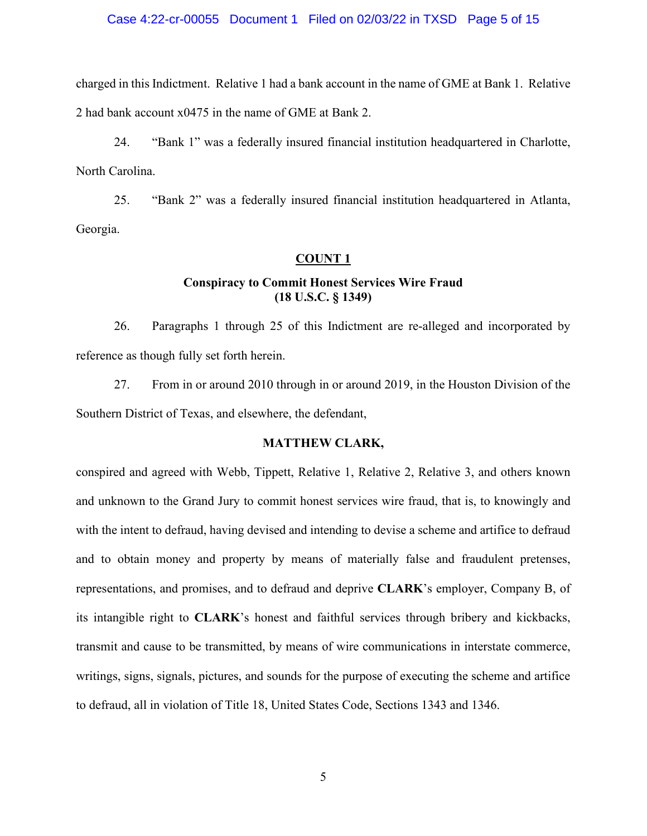#### Case 4:22-cr-00055 Document 1 Filed on 02/03/22 in TXSD Page 5 of 15

charged in this Indictment. Relative 1 had a bank account in the name of GME at Bank 1. Relative 2 had bank account x0475 in the name of GME at Bank 2.

24. "Bank 1" was a federally insured financial institution headquartered in Charlotte, North Carolina.

25. "Bank 2" was a federally insured financial institution headquartered in Atlanta, Georgia.

#### **COUNT 1**

# **Conspiracy to Commit Honest Services Wire Fraud (18 U.S.C. § 1349)**

26. Paragraphs 1 through 25 of this Indictment are re-alleged and incorporated by reference as though fully set forth herein.

27. From in or around 2010 through in or around 2019, in the Houston Division of the Southern District of Texas, and elsewhere, the defendant,

### **MATTHEW CLARK,**

conspired and agreed with Webb, Tippett, Relative 1, Relative 2, Relative 3, and others known and unknown to the Grand Jury to commit honest services wire fraud, that is, to knowingly and with the intent to defraud, having devised and intending to devise a scheme and artifice to defraud and to obtain money and property by means of materially false and fraudulent pretenses, representations, and promises, and to defraud and deprive **CLARK**'s employer, Company B, of its intangible right to **CLARK**'s honest and faithful services through bribery and kickbacks, transmit and cause to be transmitted, by means of wire communications in interstate commerce, writings, signs, signals, pictures, and sounds for the purpose of executing the scheme and artifice to defraud, all in violation of Title 18, United States Code, Sections 1343 and 1346.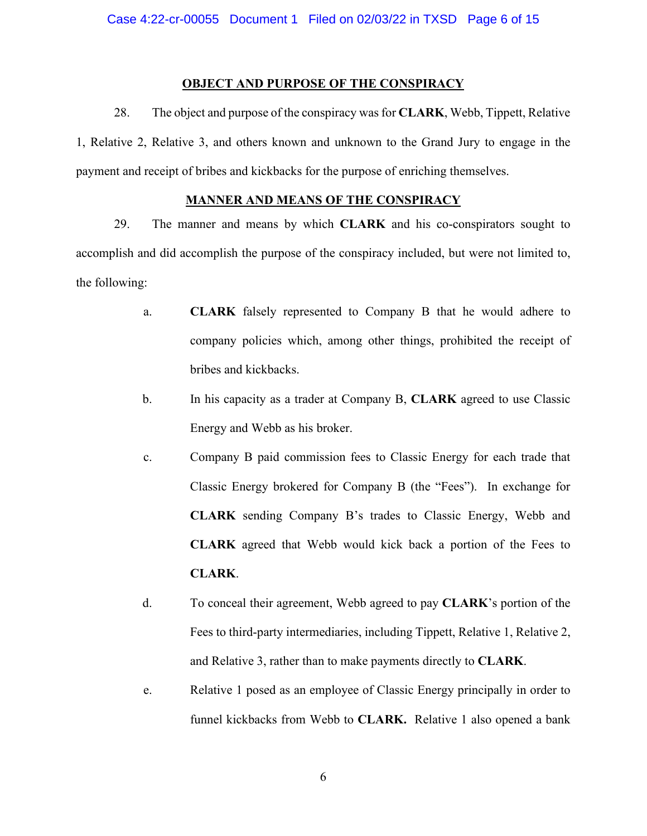#### **OBJECT AND PURPOSE OF THE CONSPIRACY**

28. The object and purpose of the conspiracy was for **CLARK**, Webb, Tippett, Relative 1, Relative 2, Relative 3, and others known and unknown to the Grand Jury to engage in the payment and receipt of bribes and kickbacks for the purpose of enriching themselves.

### **MANNER AND MEANS OF THE CONSPIRACY**

29. The manner and means by which **CLARK** and his co-conspirators sought to accomplish and did accomplish the purpose of the conspiracy included, but were not limited to, the following:

- a. **CLARK** falsely represented to Company B that he would adhere to company policies which, among other things, prohibited the receipt of bribes and kickbacks.
- b. In his capacity as a trader at Company B, **CLARK** agreed to use Classic Energy and Webb as his broker.
- c. Company B paid commission fees to Classic Energy for each trade that Classic Energy brokered for Company B (the "Fees"). In exchange for **CLARK** sending Company B's trades to Classic Energy, Webb and **CLARK** agreed that Webb would kick back a portion of the Fees to **CLARK**.
- d. To conceal their agreement, Webb agreed to pay **CLARK**'s portion of the Fees to third-party intermediaries, including Tippett, Relative 1, Relative 2, and Relative 3, rather than to make payments directly to **CLARK**.
- e. Relative 1 posed as an employee of Classic Energy principally in order to funnel kickbacks from Webb to **CLARK.** Relative 1 also opened a bank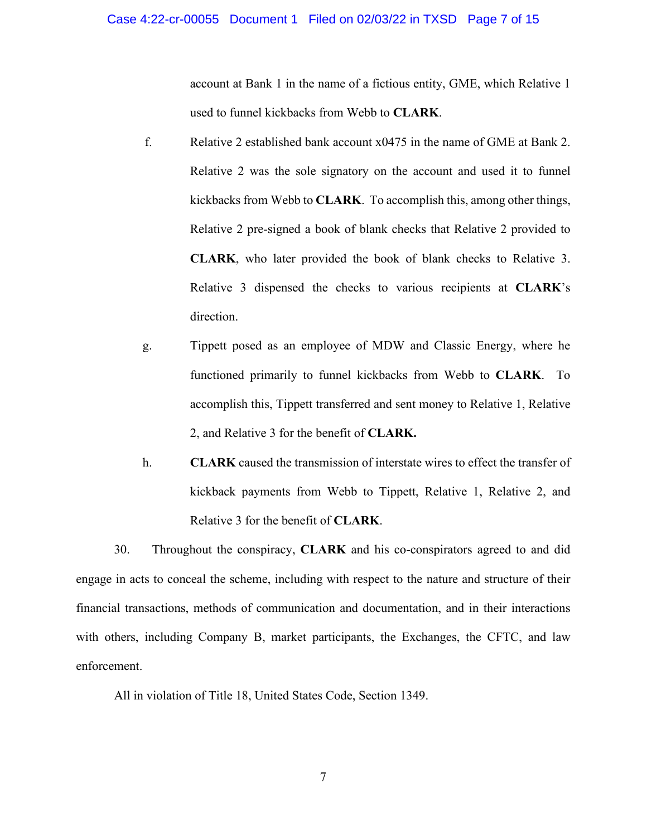account at Bank 1 in the name of a fictious entity, GME, which Relative 1 used to funnel kickbacks from Webb to **CLARK**.

- f. Relative 2 established bank account x0475 in the name of GME at Bank 2. Relative 2 was the sole signatory on the account and used it to funnel kickbacks from Webb to **CLARK**. To accomplish this, among other things, Relative 2 pre-signed a book of blank checks that Relative 2 provided to **CLARK**, who later provided the book of blank checks to Relative 3. Relative 3 dispensed the checks to various recipients at **CLARK**'s direction.
- g. Tippett posed as an employee of MDW and Classic Energy, where he functioned primarily to funnel kickbacks from Webb to **CLARK**. To accomplish this, Tippett transferred and sent money to Relative 1, Relative 2, and Relative 3 for the benefit of **CLARK.**
- h. **CLARK** caused the transmission of interstate wires to effect the transfer of kickback payments from Webb to Tippett, Relative 1, Relative 2, and Relative 3 for the benefit of **CLARK**.

30. Throughout the conspiracy, **CLARK** and his co-conspirators agreed to and did engage in acts to conceal the scheme, including with respect to the nature and structure of their financial transactions, methods of communication and documentation, and in their interactions with others, including Company B, market participants, the Exchanges, the CFTC, and law enforcement.

All in violation of Title 18, United States Code, Section 1349.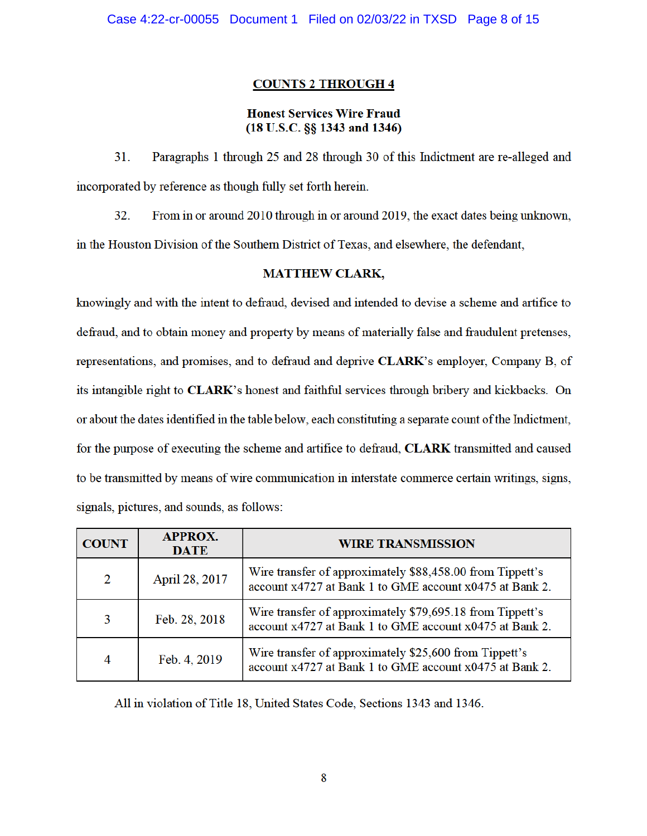# **COUNTS 2 THROUGH 4**

# **Honest Services Wire Fraud**  $(18$  U.S.C. §§ 1343 and 1346)

31. Paragraphs 1 through 25 and 28 through 30 of this Indictment are re-alleged and incorporated by reference as though fully set forth herein.

32. From in or around 2010 through in or around 2019, the exact dates being unknown,

in the Houston Division of the Southern District of Texas, and elsewhere, the defendant,

# **MATTHEW CLARK,**

knowingly and with the intent to defraud, devised and intended to devise a scheme and artifice to defraud, and to obtain money and property by means of materially false and fraudulent pretenses, representations, and promises, and to defraud and deprive CLARK's employer, Company B, of its intangible right to CLARK's honest and faithful services through bribery and kickbacks. On or about the dates identified in the table below, each constituting a separate count of the Indictment, for the purpose of executing the scheme and artifice to defraud, CLARK transmitted and caused to be transmitted by means of wire communication in interstate commerce certain writings, signs, signals, pictures, and sounds, as follows:

| <b>COUNT</b> | <b>APPROX.</b><br><b>DATE</b> | <b>WIRE TRANSMISSION</b>                                                                                             |  |  |
|--------------|-------------------------------|----------------------------------------------------------------------------------------------------------------------|--|--|
| 2            | April 28, 2017                | Wire transfer of approximately \$88,458.00 from Tippett's<br>account x4727 at Bank 1 to GME account x0475 at Bank 2. |  |  |
| 3            | Feb. 28, 2018                 | Wire transfer of approximately \$79,695.18 from Tippett's<br>account x4727 at Bank 1 to GME account x0475 at Bank 2. |  |  |
| 4            | Feb. 4, 2019                  | Wire transfer of approximately \$25,600 from Tippett's<br>account x4727 at Bank 1 to GME account x0475 at Bank 2.    |  |  |

All in violation of Title 18, United States Code, Sections 1343 and 1346.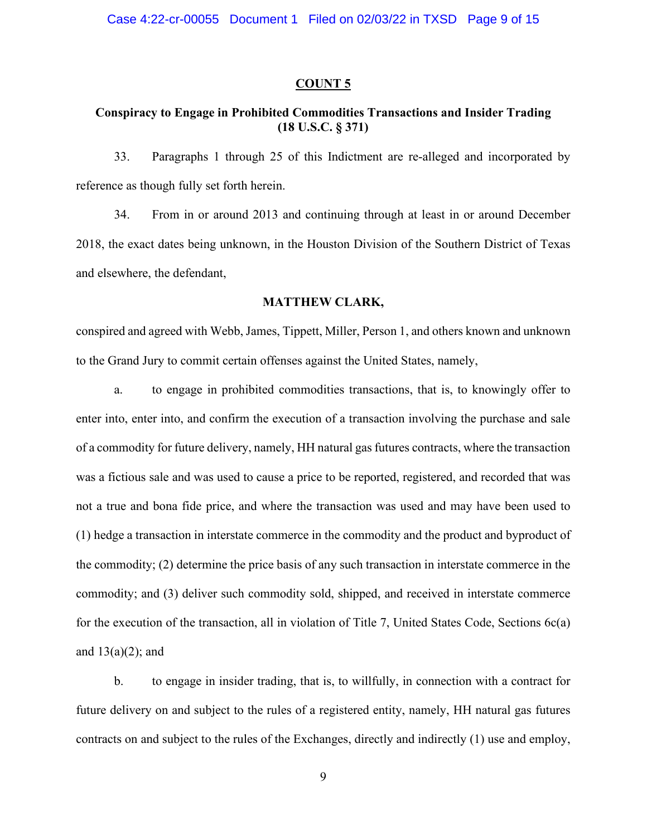#### **COUNT 5**

# **Conspiracy to Engage in Prohibited Commodities Transactions and Insider Trading (18 U.S.C. § 371)**

33. Paragraphs 1 through 25 of this Indictment are re-alleged and incorporated by reference as though fully set forth herein.

34. From in or around 2013 and continuing through at least in or around December 2018, the exact dates being unknown, in the Houston Division of the Southern District of Texas and elsewhere, the defendant,

# **MATTHEW CLARK,**

conspired and agreed with Webb, James, Tippett, Miller, Person 1, and others known and unknown to the Grand Jury to commit certain offenses against the United States, namely,

a. to engage in prohibited commodities transactions, that is, to knowingly offer to enter into, enter into, and confirm the execution of a transaction involving the purchase and sale of a commodity for future delivery, namely, HH natural gas futures contracts, where the transaction was a fictious sale and was used to cause a price to be reported, registered, and recorded that was not a true and bona fide price, and where the transaction was used and may have been used to (1) hedge a transaction in interstate commerce in the commodity and the product and byproduct of the commodity; (2) determine the price basis of any such transaction in interstate commerce in the commodity; and (3) deliver such commodity sold, shipped, and received in interstate commerce for the execution of the transaction, all in violation of Title 7, United States Code, Sections 6c(a) and  $13(a)(2)$ ; and

b. to engage in insider trading, that is, to willfully, in connection with a contract for future delivery on and subject to the rules of a registered entity, namely, HH natural gas futures contracts on and subject to the rules of the Exchanges, directly and indirectly (1) use and employ,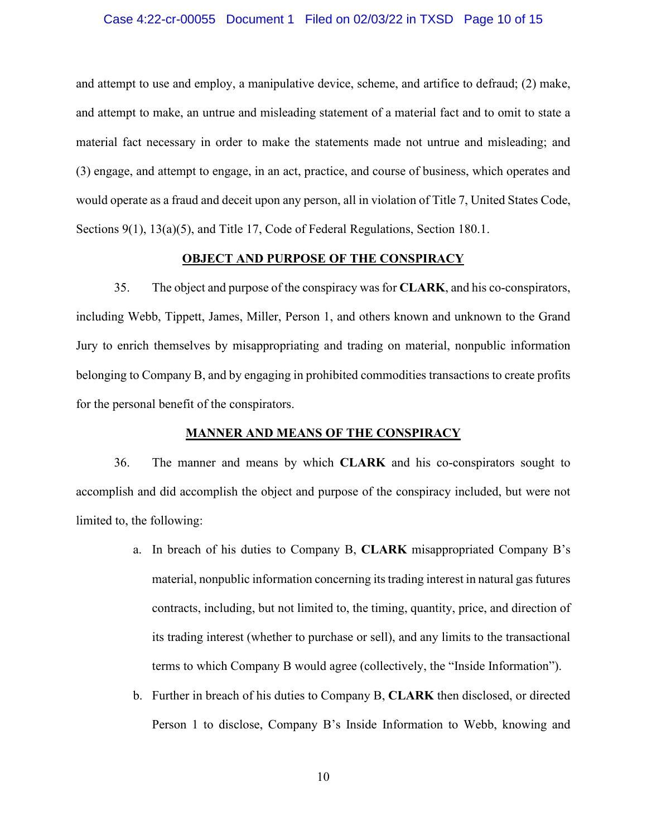#### Case 4:22-cr-00055 Document 1 Filed on 02/03/22 in TXSD Page 10 of 15

and attempt to use and employ, a manipulative device, scheme, and artifice to defraud; (2) make, and attempt to make, an untrue and misleading statement of a material fact and to omit to state a material fact necessary in order to make the statements made not untrue and misleading; and (3) engage, and attempt to engage, in an act, practice, and course of business, which operates and would operate as a fraud and deceit upon any person, all in violation of Title 7, United States Code, Sections 9(1), 13(a)(5), and Title 17, Code of Federal Regulations, Section 180.1.

#### **OBJECT AND PURPOSE OF THE CONSPIRACY**

35. The object and purpose of the conspiracy was for **CLARK**, and his co-conspirators, including Webb, Tippett, James, Miller, Person 1, and others known and unknown to the Grand Jury to enrich themselves by misappropriating and trading on material, nonpublic information belonging to Company B, and by engaging in prohibited commodities transactions to create profits for the personal benefit of the conspirators.

#### **MANNER AND MEANS OF THE CONSPIRACY**

36. The manner and means by which **CLARK** and his co-conspirators sought to accomplish and did accomplish the object and purpose of the conspiracy included, but were not limited to, the following:

- a. In breach of his duties to Company B, **CLARK** misappropriated Company B's material, nonpublic information concerning its trading interest in natural gas futures contracts, including, but not limited to, the timing, quantity, price, and direction of its trading interest (whether to purchase or sell), and any limits to the transactional terms to which Company B would agree (collectively, the "Inside Information").
- b. Further in breach of his duties to Company B, **CLARK** then disclosed, or directed Person 1 to disclose, Company B's Inside Information to Webb, knowing and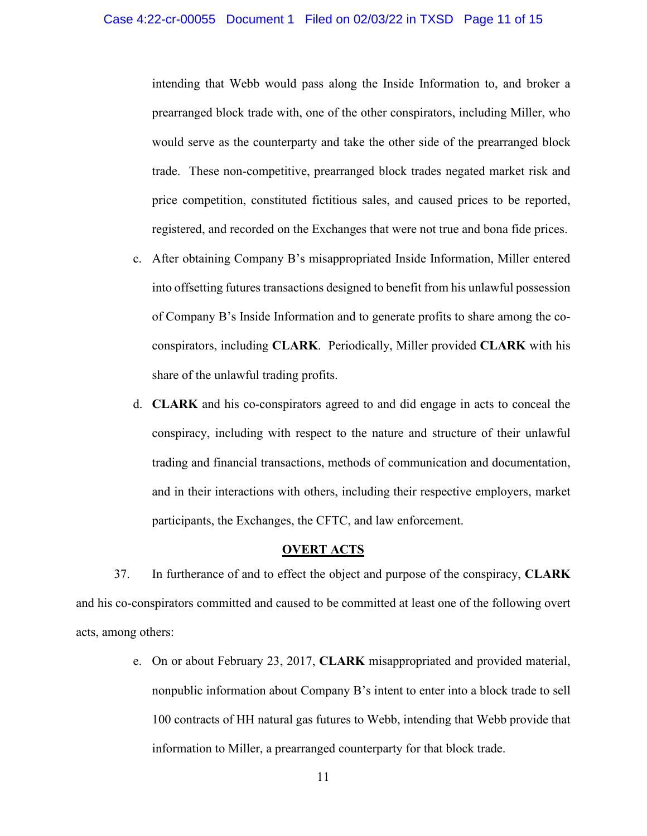intending that Webb would pass along the Inside Information to, and broker a prearranged block trade with, one of the other conspirators, including Miller, who would serve as the counterparty and take the other side of the prearranged block trade. These non-competitive, prearranged block trades negated market risk and price competition, constituted fictitious sales, and caused prices to be reported, registered, and recorded on the Exchanges that were not true and bona fide prices.

- c. After obtaining Company B's misappropriated Inside Information, Miller entered into offsetting futures transactions designed to benefit from his unlawful possession of Company B's Inside Information and to generate profits to share among the coconspirators, including **CLARK**. Periodically, Miller provided **CLARK** with his share of the unlawful trading profits.
- d. **CLARK** and his co-conspirators agreed to and did engage in acts to conceal the conspiracy, including with respect to the nature and structure of their unlawful trading and financial transactions, methods of communication and documentation, and in their interactions with others, including their respective employers, market participants, the Exchanges, the CFTC, and law enforcement.

### **OVERT ACTS**

37. In furtherance of and to effect the object and purpose of the conspiracy, **CLARK** and his co-conspirators committed and caused to be committed at least one of the following overt acts, among others:

> e. On or about February 23, 2017, **CLARK** misappropriated and provided material, nonpublic information about Company B's intent to enter into a block trade to sell 100 contracts of HH natural gas futures to Webb, intending that Webb provide that information to Miller, a prearranged counterparty for that block trade.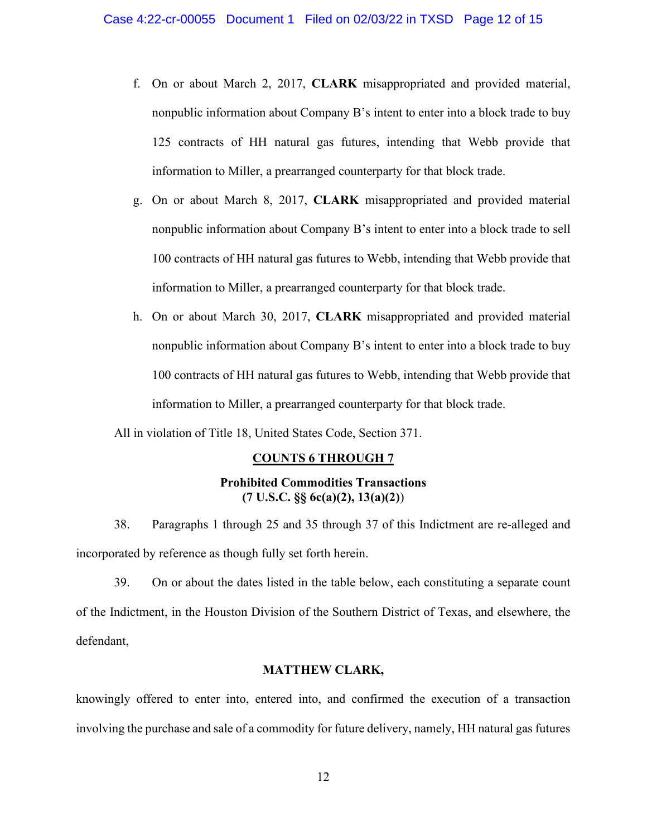- f. On or about March 2, 2017, **CLARK** misappropriated and provided material, nonpublic information about Company B's intent to enter into a block trade to buy 125 contracts of HH natural gas futures, intending that Webb provide that information to Miller, a prearranged counterparty for that block trade.
- g. On or about March 8, 2017, **CLARK** misappropriated and provided material nonpublic information about Company B's intent to enter into a block trade to sell 100 contracts of HH natural gas futures to Webb, intending that Webb provide that information to Miller, a prearranged counterparty for that block trade.
- h. On or about March 30, 2017, **CLARK** misappropriated and provided material nonpublic information about Company B's intent to enter into a block trade to buy 100 contracts of HH natural gas futures to Webb, intending that Webb provide that information to Miller, a prearranged counterparty for that block trade.

All in violation of Title 18, United States Code, Section 371.

# **COUNTS 6 THROUGH 7**

# **Prohibited Commodities Transactions (7 U.S.C. §§ 6c(a)(2), 13(a)(2)**)

38. Paragraphs 1 through 25 and 35 through 37 of this Indictment are re-alleged and incorporated by reference as though fully set forth herein.

39. On or about the dates listed in the table below, each constituting a separate count of the Indictment, in the Houston Division of the Southern District of Texas, and elsewhere, the defendant,

## **MATTHEW CLARK,**

knowingly offered to enter into, entered into, and confirmed the execution of a transaction involving the purchase and sale of a commodity for future delivery, namely, HH natural gas futures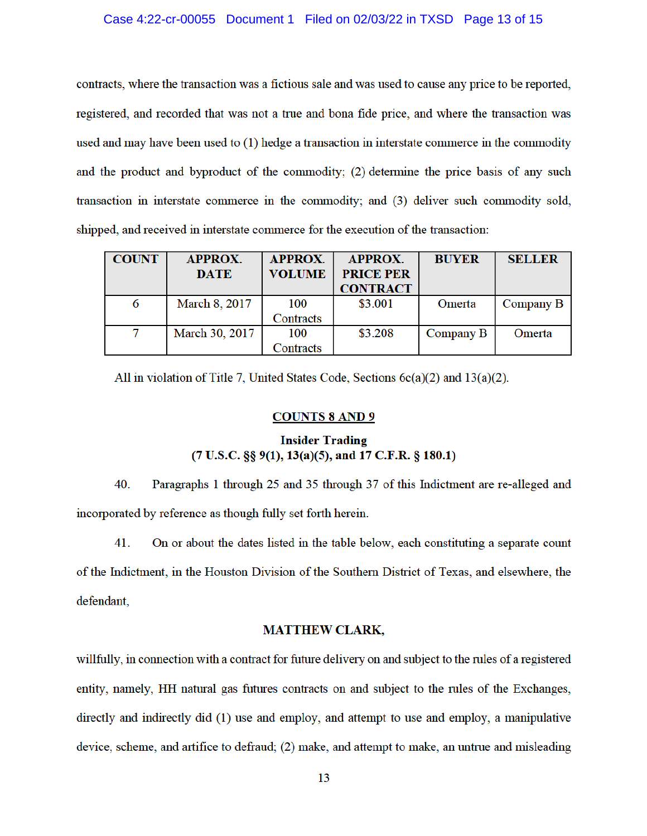### Case 4:22-cr-00055 Document 1 Filed on 02/03/22 in TXSD Page 13 of 15

contracts, where the transaction was a fictious sale and was used to cause any price to be reported, registered, and recorded that was not a true and bona fide price, and where the transaction was used and may have been used to (1) hedge a transaction in interstate commerce in the commodity and the product and byproduct of the commodity; (2) determine the price basis of any such transaction in interstate commerce in the commodity; and (3) deliver such commodity sold, shipped, and received in interstate commerce for the execution of the transaction:

| <b>COUNT</b> | <b>APPROX.</b><br><b>DATE</b> | <b>APPROX.</b><br><b>VOLUME</b> | <b>APPROX.</b><br><b>PRICE PER</b><br><b>CONTRACT</b> | <b>BUYER</b> | <b>SELLER</b> |
|--------------|-------------------------------|---------------------------------|-------------------------------------------------------|--------------|---------------|
| 6            | <b>March 8, 2017</b>          | 100                             | \$3.001                                               | Omerta       | Company B     |
|              |                               | Contracts                       |                                                       |              |               |
| 7            | March 30, 2017                | 100                             | \$3.208                                               | Company B    | Omerta        |
|              |                               | Contracts                       |                                                       |              |               |

All in violation of Title 7, United States Code, Sections  $6c(a)(2)$  and  $13(a)(2)$ .

### **COUNTS 8 AND 9**

## **Insider Trading**  $(7 U.S.C. \S § 9(1), 13(a)(5), and 17 C.F.R. \S 180.1)$

40. Paragraphs 1 through 25 and 35 through 37 of this Indictment are re-alleged and incorporated by reference as though fully set forth herein.

On or about the dates listed in the table below, each constituting a separate count 41. of the Indictment, in the Houston Division of the Southern District of Texas, and elsewhere, the defendant,

### **MATTHEW CLARK,**

willfully, in connection with a contract for future delivery on and subject to the rules of a registered entity, namely, HH natural gas futures contracts on and subject to the rules of the Exchanges, directly and indirectly did (1) use and employ, and attempt to use and employ, a manipulative device, scheme, and artifice to defraud; (2) make, and attempt to make, an untrue and misleading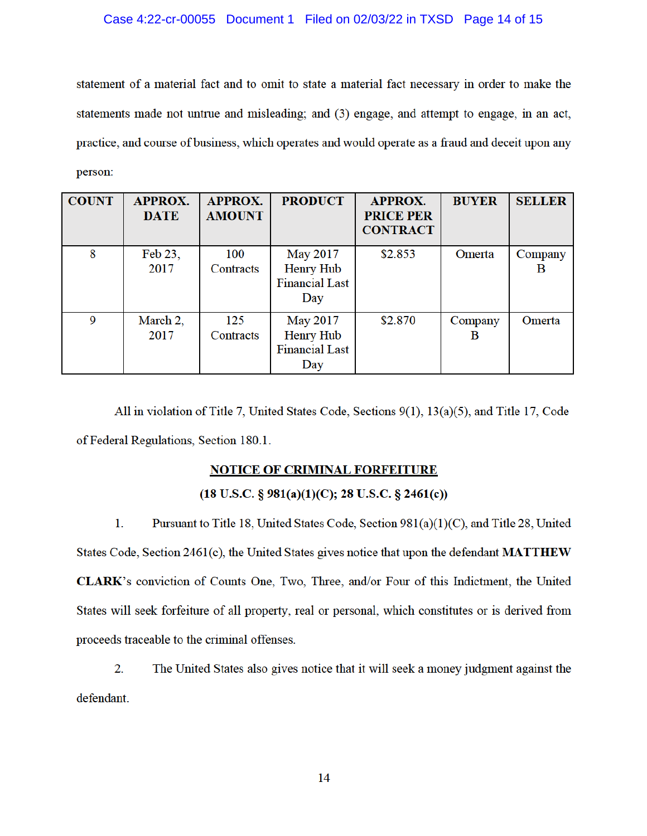statement of a material fact and to omit to state a material fact necessary in order to make the statements made not untrue and misleading; and (3) engage, and attempt to engage, in an act, practice, and course of business, which operates and would operate as a fraud and deceit upon any person:

| <b>COUNT</b> | <b>APPROX.</b><br><b>DATE</b> | <b>APPROX.</b><br><b>AMOUNT</b> | <b>PRODUCT</b>                                                      | <b>APPROX.</b><br><b>PRICE PER</b><br><b>CONTRACT</b> | <b>BUYER</b> | <b>SELLER</b> |
|--------------|-------------------------------|---------------------------------|---------------------------------------------------------------------|-------------------------------------------------------|--------------|---------------|
| 8            | Feb 23,<br>2017               | 100<br>Contracts                | <b>May 2017</b><br><b>Henry Hub</b><br><b>Financial Last</b><br>Day | \$2.853                                               | Omerta       | Company<br>в  |
| 9            | March 2,<br>2017              | 125<br>Contracts                | <b>May 2017</b><br><b>Henry Hub</b><br><b>Financial Last</b><br>Day | \$2.870                                               | Company<br>В | Omerta        |

All in violation of Title 7, United States Code, Sections 9(1), 13(a)(5), and Title 17, Code of Federal Regulations, Section 180.1.

# **NOTICE OF CRIMINAL FORFEITURE**

# $(18 \text{ U.S.C. } § 981(a)(1)(C); 28 \text{ U.S.C. } § 2461(c))$

 $1.$ Pursuant to Title 18, United States Code, Section 981(a)(1)(C), and Title 28, United States Code, Section 2461(c), the United States gives notice that upon the defendant MATTHEW CLARK's conviction of Counts One, Two, Three, and/or Four of this Indictment, the United States will seek forfeiture of all property, real or personal, which constitutes or is derived from proceeds traceable to the criminal offenses.

2. The United States also gives notice that it will seek a money judgment against the

defendant.